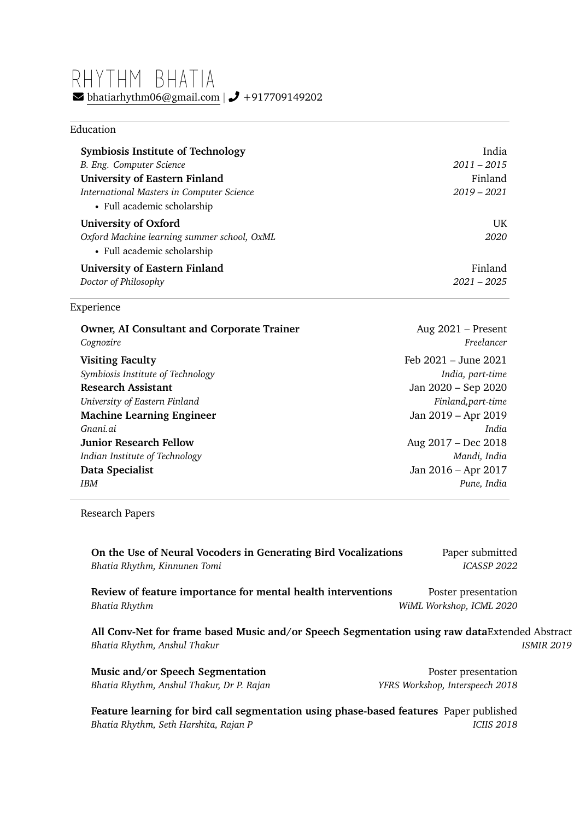## Rhythm Bhatia

å bhatiarhythm06@gmail.com [bhatiarhythm06@gmail.com](mailto:bhatiarhythm06@gmail.com) *|* µ +917709149202

## Education

| <b>Symbiosis Institute of Technology</b>    | India         |
|---------------------------------------------|---------------|
| B. Eng. Computer Science                    | $2011 - 2015$ |
| <b>University of Eastern Finland</b>        | Finland       |
| International Masters in Computer Science   | $2019 - 2021$ |
| • Full academic scholarship                 |               |
| <b>University of Oxford</b>                 | UK            |
| Oxford Machine learning summer school, OxML | 2020          |
| • Full academic scholarship                 |               |
| <b>University of Eastern Finland</b>        | Finland       |
| Doctor of Philosophy                        | $2021 - 2025$ |

## Experience

| <b>Owner, AI Consultant and Corporate Trainer</b> | Aug $2021$ – Present  |
|---------------------------------------------------|-----------------------|
| Cognozire                                         | Freelancer            |
| <b>Visiting Faculty</b>                           | Feb 2021 - June 2021  |
| Symbiosis Institute of Technology                 | India, part-time      |
| <b>Research Assistant</b>                         | Jan 2020 – Sep 2020   |
| University of Eastern Finland                     | Finland, part-time    |
| <b>Machine Learning Engineer</b>                  | Jan 2019 – Apr 2019   |
| Gnani.ai                                          | India                 |
| <b>Junior Research Fellow</b>                     | Aug $2017 - Dec 2018$ |
| Indian Institute of Technology                    | Mandi, India          |
| Data Specialist                                   | Jan 2016 – Apr 2017   |
| IBM                                               | Pune, India           |

Research Papers

| On the Use of Neural Vocoders in Generating Bird Vocalizations                       | Paper submitted                                 |
|--------------------------------------------------------------------------------------|-------------------------------------------------|
| Bhatia Rhythm, Kinnunen Tomi                                                         | ICASSP 2022                                     |
| Review of feature importance for mental health interventions<br><b>Bhatia Rhythm</b> | Poster presentation<br>WiML Workshop, ICML 2020 |

**All Conv-Net for frame based Music and/or Speech Segmentation using raw data**Extended Abstract *Bhatia Rhythm, Anshul Thakur ISMIR 2019*

| Music and/or Speech Segmentation          | Poster presentation             |
|-------------------------------------------|---------------------------------|
| Bhatia Rhythm, Anshul Thakur, Dr P. Rajan | YFRS Workshop, Interspeech 2018 |

**Feature learning for bird call segmentation using phase-based features** Paper published *Bhatia Rhythm, Seth Harshita, Rajan P ICIIS 2018*